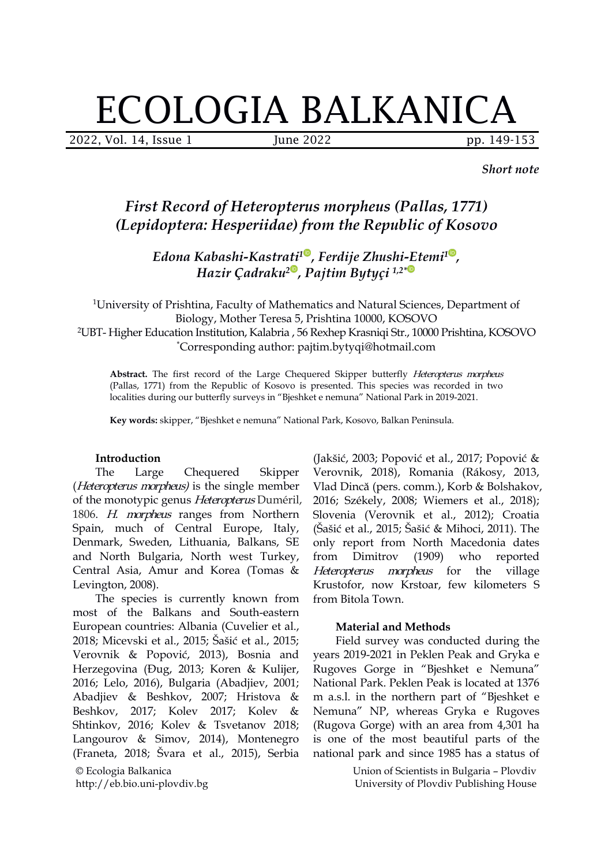# ECOLOGIA BALKANICA

2022, Vol. 14, Issue 1 June 2022 pp. 149-153

*Short note*

# *First Record of Heteropterus morpheus (Pallas, 1771) (Lepidoptera: [Hesperiidae](https://lepiforum.org/wiki/taxonomy/Papilionoidea/Hesperiidae?view=1®ions=eu)) from the Republic of Kosovo*

*Edona Kabashi-Kastrati [1](https://orcid.org/0000-0001-5582-9471) , Ferdije Zhushi-Etemi [1](https://orcid.org/0000-0002-1627-2479) , Hazir Çadraku [2](https://orcid.org/0000-0002-6406-4666) , Pajtim Bytyçi 1,2[\\*](https://orcid.org/0000-0002-1521-3370)*

<sup>1</sup>University of Prishtina, Faculty of Mathematics and Natural Sciences, Department of Biology, Mother Teresa 5, Prishtina 10000, KOSOVO <sup>2</sup>UBT- Higher Education Institution, Kalabria , 56 Rexhep Krasniqi Str., 10000 Prishtina, KOSOVO \*Corresponding author: pajtim.bytyqi@hotmail.com

Abstract. The first record of the Large Chequered Skipper butterfly *Heteropterus morpheus* (Pallas, 1771) from the Republic of Kosovo is presented. This species was recorded in two localities during our butterfly surveys in "Bjeshket e nemuna" National Park in 2019-2021.

**Key words:** skipper, "Bjeshket e nemuna" National Park, Kosovo, Balkan Peninsula.

#### **Introduction**

(*Heteropterus morpheus*) is the single member of the [monotypic](https://www.wikiwand.com/en/Monotypic) genus Heteropterus Duméril, 1806. H. morpheus ranges from Northern Spain, much of Central Europe, Italy, Denmark, Sweden, Lithuania, Balkans, SE and North Bulgaria, North west Turkey, Central Asia, Amur and Korea (Tomas & Levington, 2008).

The species is currently known from most of the Balkans and South-eastern European countries: Albania (Cuvelier et al.,2018; Micevski et al., 2015; Šašić et al., 2015; Verovnik & Popović, 2013), Bosnia and Herzegovina (Đug, 2013; Koren & Kulijer, 2016; Lelo, 2016), Bulgaria (Abadjiev, 2001; Abadjiev & Beshkov, 2007; Hristova & Beshkov, 2017; Kolev 2017; Kolev & Shtinkov, 2016; Kolev & Tsvetanov 2018; Langourov & Simov, 2014), Montenegro (Franeta, 2018; Švara et al., 2015), Serbia

© Ecologia Balkanica http://eb.bio.uni-plovdiv.bg

The Large Chequered Skipper Verovnik, 2018), Romania (Rákosy, 2013, (Jakšić, 2003; Popović et al., 2017; Popović & Vlad Dincă (pers. comm.), Korb & Bolshakov, 2016; Székely, 2008; Wiemers et al., 2018); Slovenia (Verovnik et al., 2012); Croatia (Šašić et al., 2015; Šašić & Mihoci, 2011). The only report from North Macedonia dates  $(1909)$  who reported Heteropterus morpheus for the village Krustofor, now Krstoar, few kilometers S from Bitola Town.

#### **Material and Methods**

Field survey was conducted during the years 2019-2021 in Peklen Peak and Gryka e Rugoves Gorge in "Bjeshket e Nemuna" National Park. Peklen Peak is located at 1376 m a.s.l. in the northern part of "Bjeshket e Nemuna" NP, whereas Gryka e Rugoves (Rugova Gorge) with an area from 4,301 ha is one of the most beautiful parts of the national park and since 1985 has a status of

> Union of Scientists in Bulgaria – Plovdiv University of Plovdiv Publishing House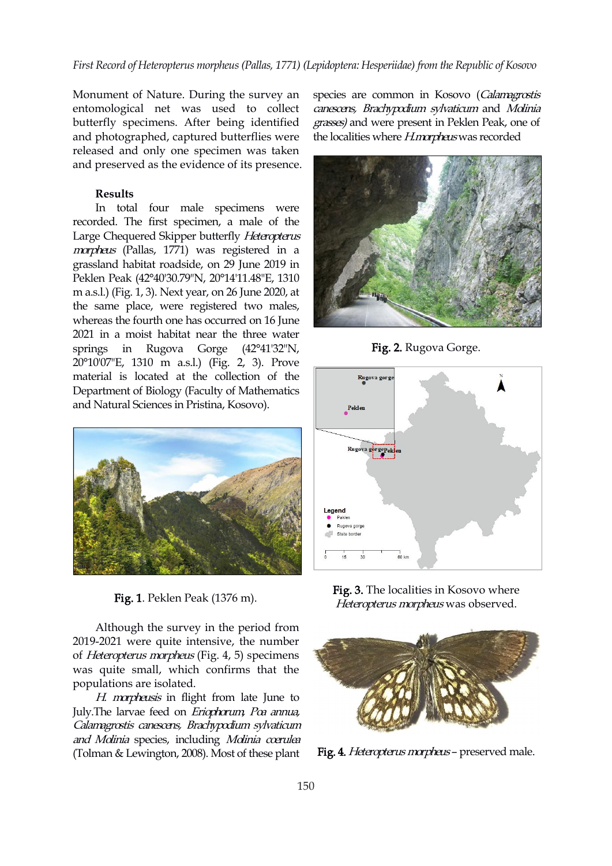Monument of Nature. During the survey an entomological net was used to collect butterfly specimens. After being identified and photographed, captured butterflies were released and only one specimen was taken and preserved as the evidence of its presence.

#### **Results**

In total four male specimens were recorded. The first specimen, a male of the Large Chequered Skipper butterfly Heteropterus morpheus (Pallas, 1771) was registered in a grassland habitat roadside, on 29 June 2019 [in](https://orcid.org/0000-0002-6406-4666) Peklen Peak (42°40'30.79"N, 20°14'11.48"E, 1310 m a.s.l.) (Fig. 1, 3). Next year, on 26 June 2020, at the same place, were registered two males, whereas the fourth one has occurred on 16 June 2021 in a moist habitat near the three water springs in Rugova Gorge (42°41'32"N, 20°10'07"E, 1310 m a.s.l.) (Fig. 2, 3). Prove material is located at the collection of the Rugova gorg Department of Biology (Faculty of Mathematics and Natural Sciences in Pristina, Kosovo).



Fig. 1. Peklen Peak (1376 m).

Although the survey in the period from 2019-2021 were quite intensive, the number of Heteropterus morpheus (Fig. 4, 5) specimens was quite small, which confirms that the populations are isolated.

H. morpheusis in flight from late June to July.The larvae feed on Eriophorum, Poa annua, Calamagrostis canescens, Brachypodium sylvaticum and Molinia species, including Molinia coerulea (Tolman & Lewington, 2008). Most of these plant

species are common in Kosovo (Calamagrostis canescens, Brachypodium sylvaticum and Molinia grasses) and were present in Peklen Peak, one of the localities where *H.morpheus* was recorded



Fig. 2. Rugova Gorge.







Fig. 4. Heteropterus morpheus – preserved male.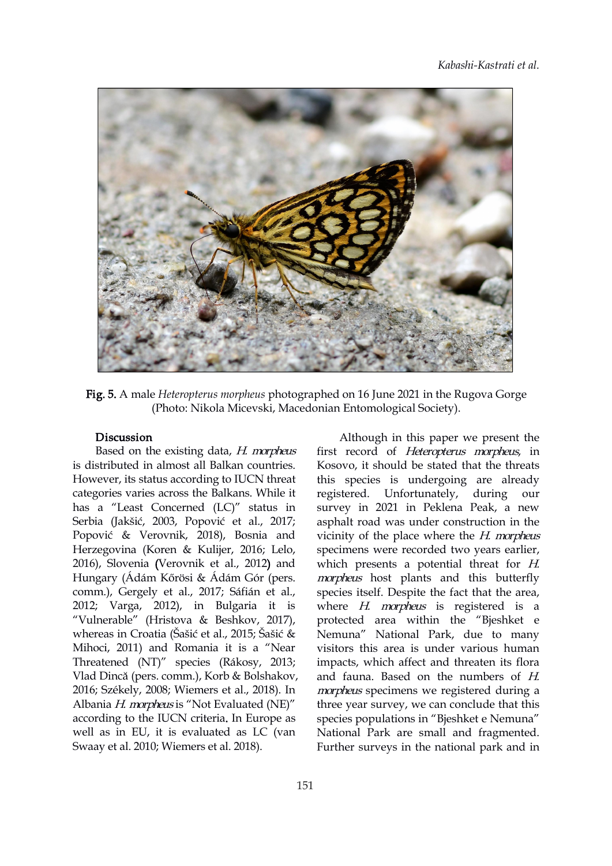

Fig. 5. A male *Heteropterus morpheus* photographed on 16 June 2021 in the Rugova Gorge (Photo: Nikola Micevski, Macedonian Entomological Society).

## Discussion

Based on the existing data, H. morpheus is distributed in almost all Balkan countries. However, its status according to IUCN threat categories varies across the Balkans. While it has a "Least Concerned (LC)" status in Serbia (Jakšić, 2003, Popović et al., 2017; Popović & Verovnik, 2018), Bosnia and Herzegovina (Koren & Kulijer, 2016; Lelo, 2016), Slovenia (Verovnik et al., 2012) and Hungary (Ádám Kőrösi & Ádám Gór (pers.<br>comm.), Gergely et al., 2017; Sáfián et al., 2012; Varga, 2012), in Bulgaria it is "Vulnerable" (Hristova & Beshkov, 2017), whereas in Croatia (Šašić et al., 2015; Šašić & Mihoci, 2011) and Romania it is a "Near Threatened (NT)" species (Rákosy, 2013; Vlad Dincă (pers. comm.), Korb & Bolshakov, and fauna. Based on the numbers of  $H$ . 2016; Székely, 2008; Wiemers et al., 2018). In Albania H. morpheus is "Not Evaluated (NE)" according to the IUCN criteria. In Europe as well as in EU, it is evaluated as LC (van Swaay et al. 2010; Wiemers et al. 2018).

Although in this paper we present the first record of Heteropterus morpheus, in Kosovo, it should be stated that the threats this species is undergoing are already registered. Unfortunately, during our survey in 2021 in Peklena Peak, a new asphalt road was under construction in the vicinity of the place where the  $H$ . morpheus specimens were recorded two years earlier, which presents a potential threat for H. morpheus host plants and this butterfly species itself. Despite the fact that the area, where  $H$ . morpheus is registered is a protected area within the "Bjeshket e Nemuna" National Park, due to many visitors this area is under various human impacts, which affect and threaten its flora morpheus specimens we registered during a three year survey, we can conclude that this species populations in "Bjeshket e Nemuna" National Park are small and fragmented. Further surveys in the national park and in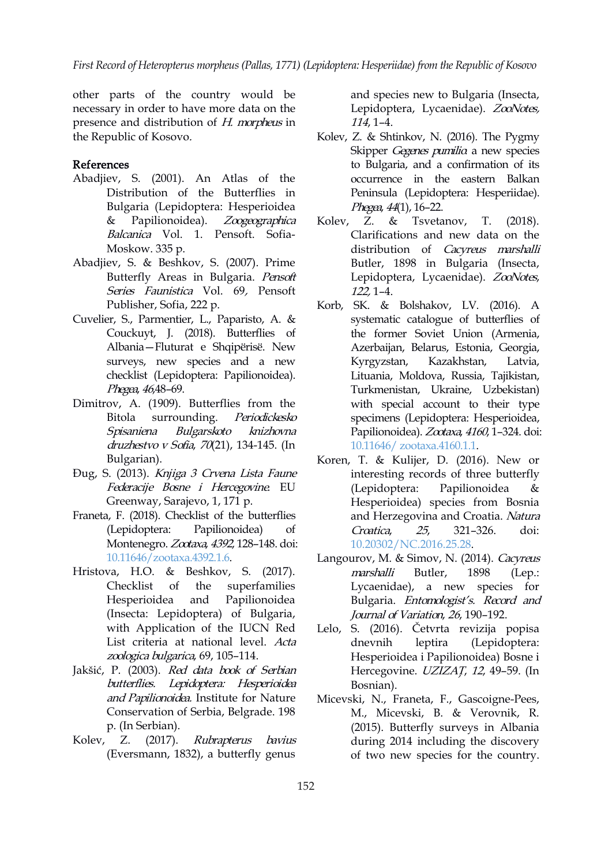other parts of the country would be necessary in order to have more data on the presence and distribution of H. morpheus in the Republic of Kosovo.

## References

- Abadjiev, S. (2001). An Atlas of the Distribution of the Butterflies in Bulgaria (Lepidoptera: Hesperioidea & Papilionoidea). Zoogeographica Kolev, Z. & Balcanica Vol. 1. Pensoft. Sofia- Moskow. 335 p.
- Abadjiev, S. & Beshkov, S. (2007). Prime Butterfly Areas in Bulgaria. Pens[oft](https://orcid.org/0000-0002-6406-4666) Series Faunistica Vol. 69, Pensoft Publisher, Sofia, 222 p.
- Cuvelier, S., Parmentier, L., Paparisto, A. & Couckuyt, J. (2018). Butterflies of Albania—Fluturat e Shqipërisë. New surveys, new species and a new Kyrgyzstan, checklist (Lepidoptera: Papilionoidea). Phegea, <sup>46</sup>,48–69.
- Dimitrov, A. (1909). Butterflies from the Spisaniena Bulgarskoto knizhovna druzhestvo <sup>v</sup> Sofia, 70(21), 134-145. (In Bulgarian).
- Đug, S. (2013). Knjiga <sup>3</sup> Crvena Lista Faune Federacije Bosne i Hercegovine. EU (Lepidoptera: Greenway, Sarajevo, 1, 171 p.
- Franeta, F. (2018). Checklist of the butterflies (Lepidoptera: Papilionoidea) of Montenegro. Zootaxa, 4392, 128–148. doi: 10.11646/zootaxa.4392.1.6.
- Hristova, H.O. & Beshkov, S. (2017). Checklist of the superfamilies Hesperioidea and Papilionoidea (Insecta: Lepidoptera) of Bulgaria, with Application of the IUCN Red List criteria at national level. Acta zoologica bulgarica, 69, 105–114.
- Jakšić, P. (2003). Red data book of Serbian butterflies. Lepidoptera: Hesperioidea and Papilionoidea. Institute for Nature Conservation of Serbia, Belgrade. 198 p. (In Serbian).
- Kolev, Z. (2017). Rubrapterus bavius (Eversmann, 1832), a butterfly genus

and species new to Bulgaria (Insecta, Lepidoptera, Lycaenidae). ZooNotes, 114, 1–4.

- Kolev, Z. & Shtinkov, N. (2016). The Pygmy Skipper Gegenes pumilio a new species to Bulgaria, and a confirmation of its occurrence in the eastern Balkan Peninsula (Lepidoptera: Hesperiidae). Phegea, 44(1), 16-22.
- Tsvetanov, T.  $(2018)$ . Clarifications and new data on the distribution of *[Cac](https://orcid.org/0000-0002-1627-2479)yreus* marshalli Butler, 18[98](https://orcid.org/0000-0002-1521-3370) in Bulgaria (Insecta, Lepidoptera, Lycaenidae). ZooNotes, 122, 1–4.
- Bitola surrounding. *Periodickesko* specimens(Lepidoptera: Hesperioidea, Korb, SK. & Bolshakov, LV. (2016). A systematic catalogue of butterflies of the former Soviet Union (Armenia, Azerbaijan, Belarus, Estonia, Georgia, Kazakhstan, Latvia, Lituania, Moldova, Russia, Tajikistan, Turkmenistan, Ukraine, Uzbekistan) with special account to their type Papilionoidea). Zootaxa, 4160, 1-324. doi: 10.11646/ [zootaxa.4160.1.1](https://doi.org/10.11646/%20zootaxa.4160.1.1).
	- Koren, T. & Kulijer, D. (2016). New or interesting records of three butterfly Papilionoidea & Hesperioidea) species from Bosnia and Herzegovina and Croatia. Natura 25, 321–326. doi: [10.20302/NC.2016.25.28](https://doi.org/10.20302/NC.2016.25.28).
	- Langourov, M. & Simov, N. (2014). Cacyreus marshalli Butler, 1898 (Lep.: Lycaenidae), a new species for Bulgaria. Entomologist's. Record and Journal of Variation, 26, 190–192.
	- Lelo, S. (2016). Četvrta revizija popisa leptira (Lepidoptera: Hesperioidea i Papilionoidea) Bosne i Hercegovine. UZIZAŢ, <sup>12</sup>, 49–59. (In Bosnian).
	- Micevski, N., Franeta, F., Gascoigne-Pees, M., Micevski, B. & Verovnik, R. (2015). Butterfly surveys in Albania during 2014 including the discovery of two new species for the country.